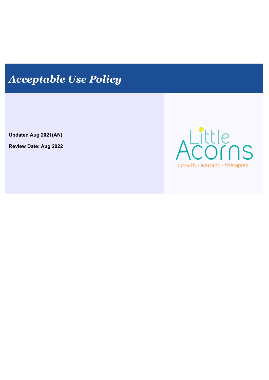# *Acceptable Use Policy*

**Updated Aug 2021(AN)**

**Review Date: Aug 2022**

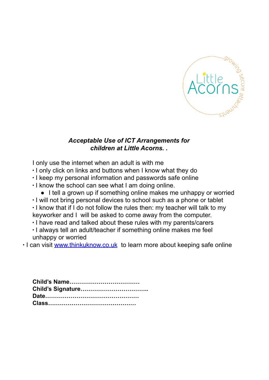

# *Acceptable Use of ICT Arrangements for children at Little Acorns. .*

I only use the internet when an adult is with me

- ∙ I only click on links and buttons when I know what they do
- ∙ I keep my personal information and passwords safe online
- ∙ I know the school can see what I am doing online.
	- I tell a grown up if something online makes me unhappy or worried
- ∙ I will not bring personal devices to school such as a phone or tablet
- ∙ I know that if I do not follow the rules then: my teacher will talk to my keyworker and I will be asked to come away from the computer.
- ∙ I have read and talked about these rules with my parents/carers
- ∙ I always tell an adult/teacher if something online makes me feel unhappy or worried
- ∙ I can visit [www.thinkuknow.co.uk](http://www.thinkuknow.co.uk) to learn more about keeping safe online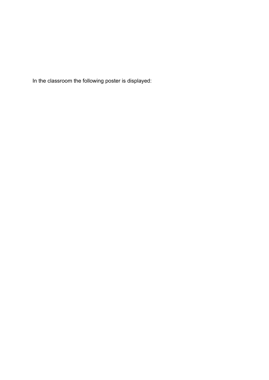In the classroom the following poster is displayed: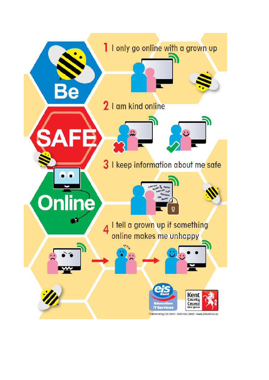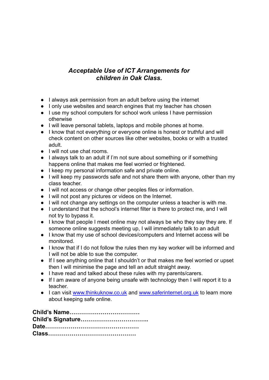## *Acceptable Use of ICT Arrangements for children in Oak Class.*

- I always ask permission from an adult before using the internet
- I only use websites and search engines that my teacher has chosen
- I use my school computers for school work unless I have permission otherwise
- I will leave personal tablets, laptops and mobile phones at home.
- I know that not everything or everyone online is honest or truthful and will check content on other sources like other websites, books or with a trusted adult.
- I will not use chat rooms.
- I always talk to an adult if I'm not sure about something or if something happens online that makes me feel worried or frightened.
- I keep my personal information safe and private online.
- I will keep my passwords safe and not share them with anyone, other than my class teacher.
- I will not access or change other peoples files or information.
- I will not post any pictures or videos on the Internet.
- I will not change any settings on the computer unless a teacher is with me.
- I understand that the school's internet filter is there to protect me, and I will not try to bypass it.
- I know that people I meet online may not always be who they say they are. If someone online suggests meeting up, I will immediately talk to an adult
- I know that my use of school devices/computers and Internet access will be monitored.
- I know that if I do not follow the rules then my key worker will be informed and I will not be able to sue the computer.
- If I see anything online that I shouldn't or that makes me feel worried or upset then I will minimise the page and tell an adult straight away.
- I have read and talked about these rules with my parents/carers.
- If I am aware of anyone being unsafe with technology then I will report it to a teacher.
- I can visit [www.thinkuknow.co.uk](http://www.thinkuknow.co.uk) and [www.saferinternet.org.uk](http://www.saferinternet.org.uk) to learn more about keeping safe online.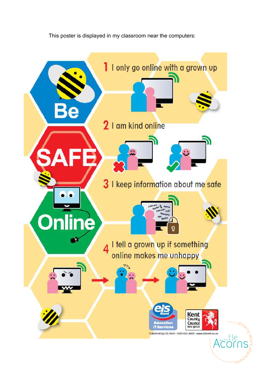This poster is displayed in my classroom near the computers:

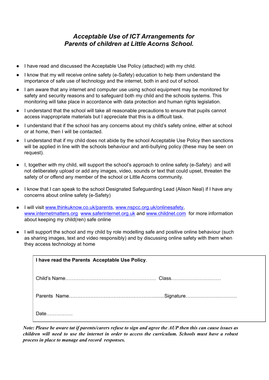# *Acceptable Use of ICT Arrangements for Parents of children at Little Acorns School.*

- I have read and discussed the Acceptable Use Policy (attached) with my child.
- I know that my will receive online safety (e-Safety) education to help them understand the importance of safe use of technology and the internet, both in and out of school.
- I am aware that any internet and computer use using school equipment may be monitored for safety and security reasons and to safeguard both my child and the schools systems. This monitoring will take place in accordance with data protection and human rights legislation.
- I understand that the school will take all reasonable precautions to ensure that pupils cannot access inappropriate materials but I appreciate that this is a difficult task.
- I understand that if the school has any concerns about my child's safety online, either at school or at home, then I will be contacted.
- I understand that if my child does not abide by the school Acceptable Use Policy then sanctions will be applied in line with the schools behaviour and anti-bullying policy (these may be seen on request).
- I, together with my child, will support the school's approach to online safety (e-Safety) and will not deliberately upload or add any images, video, sounds or text that could upset, threaten the safety of or offend any member of the school or Little Acorns community.
- I know that I can speak to the school Designated Safeguarding Lead (Alison Neal) if I have any concerns about online safety (e-Safety)
- I will visit [www.thinkuknow.co.uk/parents](http://www.thinkuknow.co.uk/parents), [www.nspcc.org.uk/onlinesafety,](http://www.nspcc.org.uk/onlinesafety) [www.internetmatters.org](http://www.internetmatters.org) [www.saferinternet.org.uk](http://www.saferinternet.org.uk) and [www.childnet.com](http://www.childnet.com) for more information about keeping my child(ren) safe online
- I will support the school and my child by role modelling safe and positive online behaviour (such as sharing images, text and video responsibly) and by discussing online safety with them when they access technology at home

| I have read the Parents Acceptable Use Policy. |  |
|------------------------------------------------|--|
|                                                |  |
|                                                |  |
| Date                                           |  |

Note: Please be aware tat if parents/carers refuse to sign and agree the AUP then this can cause issues as children will need to use the internet in order to access the curriculum. Schools must have a robust *process in place to manage and record responses.*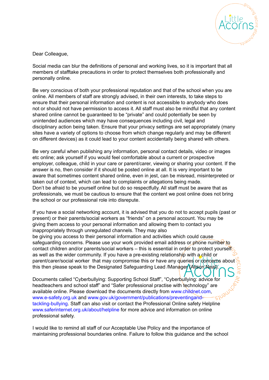

Dear Colleague,

Social media can blur the definitions of personal and working lives, so it is important that all members of stafftake precautions in order to protect themselves both professionally and personally online.

Be very conscious of both your professional reputation and that of the school when you are online. All members of staff are strongly advised, in their own interests, to take steps to ensure that their personal information and content is not accessible to anybody who does not or should not have permission to access it. All staff must also be mindful that any content shared online cannot be guaranteed to be "private" and could potentially be seen by unintended audiences which may have consequences including civil, legal and disciplinary action being taken. Ensure that your privacy settings are set appropriately (many sites have a variety of options to choose from which change regularly and may be different on different devices) as it could lead to your content accidentally being shared with others.

Be very careful when publishing any information, personal contact details, video or images etc online; ask yourself if you would feel comfortable about a current or prospective employer, colleague, child in your care or parent/carer, viewing or sharing your content. If the answer is no, then consider if it should be posted online at all. It is very important to be aware that sometimes content shared online, even in jest, can be misread, misinterpreted or taken out of context, which can lead to complaints or allegations being made. Don't be afraid to be yourself online but do so respectfully. All staff must be aware that as professionals, we must be cautious to ensure that the content we post online does not bring the school or our professional role into disrepute.

If you have a social networking account, it is advised that you do not to accept pupils (past or present) or their parents/social workers as "friends" on a personal account. You may be giving them access to your personal information and allowing them to contact you inappropriately through unregulated channels. They may also be giving you access to their personal information and activities which could cause safeguarding concerns. Please use your work provided email address or phone number to contact children and/or parents/social workers – this is essential in order to protect yourself as well as the wider community. If you have a pre-existing relationship with a child or parent/carer/social worker that may compromise this or have any queries or concerns about this then please speak to the Designated Safeguarding Lead /Manager (Alison Neal).

Documents called "Cyberbullying: Supporting School Staff", "Cyberbullying: advice for headteachers and school staff" and "Safer professional practise with technology" are available online. Please download the documents directly from www.childnet.com, www.e-safety.org.uk and www.gov.uk/government/publications/preventingandtackling-bullying. Staff can also visit or contact the Professional Online safety Helpline www.saferinternet.org.uk/about/helpline for more advice and information on online professional safety.

I would like to remind all staff of our Acceptable Use Policy and the importance of maintaining professional boundaries online. Failure to follow this guidance and the school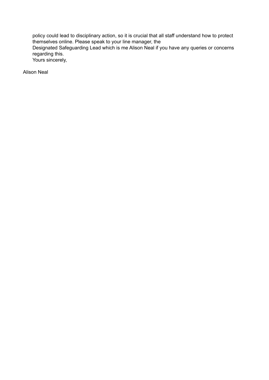policy could lead to disciplinary action, so it is crucial that all staff understand how to protect themselves online. Please speak to your line manager, the Designated Safeguarding Lead which is me Alison Neal if you have any queries or concerns regarding this. Yours sincerely,

Alison Neal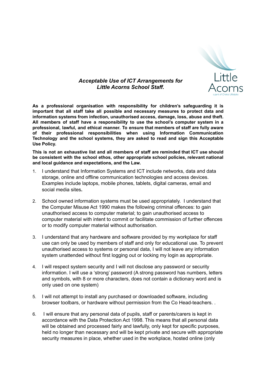

## *Acceptable Use of ICT Arrangements for Little Acorns School Staff.*

**As a professional organisation with responsibility for children's safeguarding it is important that all staff take all possible and necessary measures to protect data and information systems from infection, unauthorised access, damage, loss, abuse and theft. All members of staff have a responsibility to use the school's computer system in a professional, lawful, and ethical manner. To ensure that members of staff are fully aware of their professional responsibilities when using Information Communication Technology and the school systems, they are asked to read and sign this Acceptable Use Policy.**

**This is not an exhaustive list and all members of staff are reminded that ICT use should be consistent with the school ethos, other appropriate school policies, relevant national and local guidance and expectations, and the Law.**

- 1. I understand that Information Systems and ICT include networks, data and data storage, online and offline communication technologies and access devices. Examples include laptops, mobile phones, tablets, digital cameras, email and social media sites**.**
- 2. School owned information systems must be used appropriately. I understand that the Computer Misuse Act 1990 makes the following criminal offences: to gain unauthorised access to computer material; to gain unauthorised access to computer material with intent to commit or facilitate commission of further offences or to modify computer material without authorisation.
- 3. I understand that any hardware and software provided by my workplace for staff use can only be used by members of staff and only for educational use. To prevent unauthorised access to systems or personal data, I will not leave any information system unattended without first logging out or locking my login as appropriate.
- 4. I will respect system security and I will not disclose any password or security information. I will use a 'strong' password (A strong password has numbers, letters and symbols, with 8 or more characters, does not contain a dictionary word and is only used on one system)
- 5. I will not attempt to install any purchased or downloaded software, including browser toolbars, or hardware without permission from the Co Head-teachers. .
- 6. I will ensure that any personal data of pupils, staff or parents/carers is kept in accordance with the Data Protection Act 1998. This means that all personal data will be obtained and processed fairly and lawfully, only kept for specific purposes, held no longer than necessary and will be kept private and secure with appropriate security measures in place, whether used in the workplace, hosted online (only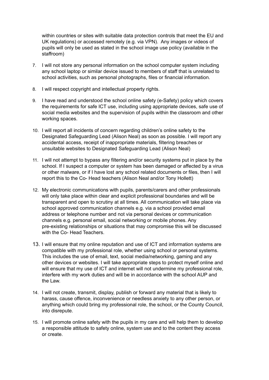within countries or sites with suitable data protection controls that meet the EU and UK regulations) or accessed remotely (e.g. via VPN). Any images or videos of pupils will only be used as stated in the school image use policy (available in the staffroom)

- 7. I will not store any personal information on the school computer system including any school laptop or similar device issued to members of staff that is unrelated to school activities, such as personal photographs, files or financial information.
- 8. I will respect copyright and intellectual property rights.
- 9. I have read and understood the school online safety (e-Safety) policy which covers the requirements for safe ICT use, including using appropriate devices, safe use of social media websites and the supervision of pupils within the classroom and other working spaces.
- 10. I will report all incidents of concern regarding children's online safety to the Designated Safeguarding Lead (Alison Neal) as soon as possible. I will report any accidental access, receipt of inappropriate materials, filtering breaches or unsuitable websites to Designated Safeguarding Lead (Alison Neal)
- 11. I will not attempt to bypass any filtering and/or security systems put in place by the school. If I suspect a computer or system has been damaged or affected by a virus or other malware, or if I have lost any school related documents or files, then I will report this to the Co- Head teachers (Alison Neal and/or Tony Hollett)
- 12. My electronic communications with pupils, parents/carers and other professionals will only take place within clear and explicit professional boundaries and will be transparent and open to scrutiny at all times. All communication will take place via school approved communication channels e.g. via a school provided email address or telephone number and not via personal devices or communication channels e.g. personal email, social networking or mobile phones. Any pre-existing relationships or situations that may compromise this will be discussed with the Co- Head Teachers.
- 13. I will ensure that my online reputation and use of ICT and information systems are compatible with my professional role, whether using school or personal systems. This includes the use of email, text, social media/networking, gaming and any other devices or websites. I will take appropriate steps to protect myself online and will ensure that my use of ICT and internet will not undermine my professional role, interfere with my work duties and will be in accordance with the school AUP and the Law.
- 14. I will not create, transmit, display, publish or forward any material that is likely to harass, cause offence, inconvenience or needless anxiety to any other person, or anything which could bring my professional role, the school, or the County Council, into disrepute.
- 15. I will promote online safety with the pupils in my care and will help them to develop a responsible attitude to safety online, system use and to the content they access or create.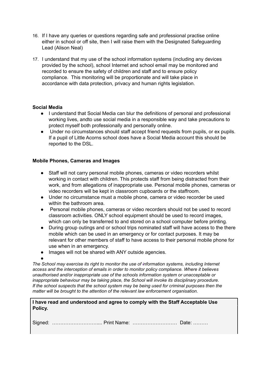- 16. If I have any queries or questions regarding safe and professional practise online either in school or off site, then I will raise them with the Designated Safeguarding Lead (Alison Neal)
- 17. I understand that my use of the school information systems (including any devices provided by the school), school Internet and school email may be monitored and recorded to ensure the safety of children and staff and to ensure policy compliance. This monitoring will be proportionate and will take place in accordance with data protection, privacy and human rights legislation.

## **Social Media**

- I understand that Social Media can blur the definitions of personal and professional working lives, andto use social media in a responsible way and take precautions to protect myself both professionally and personally online.
- Under no circumstances should staff accept friend requests from pupils, or ex pupils. If a pupil of Little Acorns school does have a Social Media account this should be reported to the DSL.

### **Mobile Phones, Cameras and Images**

- Staff will not carry personal mobile phones, cameras or video recorders whilst working in contact with children. This protects staff from being distracted from their work, and from allegations of inappropriate use. Personal mobile phones, cameras or video recorders will be kept in classroom cupboards or the staffroom.
- Under no circumstance must a mobile phone, camera or video recorder be used within the bathroom area.
- Personal mobile phones, cameras or video recorders should not be used to record classroom activities. ONLY school equipment should be used to record images, which can only be transferred to and stored on a school computer before printing.
- During group outings and or school trips nominated staff will have access to the there mobile which can be used in an emergency or for contact purposes. It may be relevant for other members of staff to have access to their personal mobile phone for use when in an emergency.
- Images will not be shared with ANY outside agencies.

● *The School may exercise its right to monitor the use of information systems, including Internet access and the interception of emails in order to monitor policy compliance. Where it believes unauthorised and/or inappropriate use of the schools information system or unacceptable or inappropriate behaviour may be taking place, the School will invoke its disciplinary procedure. If the school suspects that the school system may be being used for criminal purposes then the matter will be brought to the attention of the relevant law enforcement organisation.*

#### **I have read and understood and agree to comply with the Staff Acceptable Use Policy.**